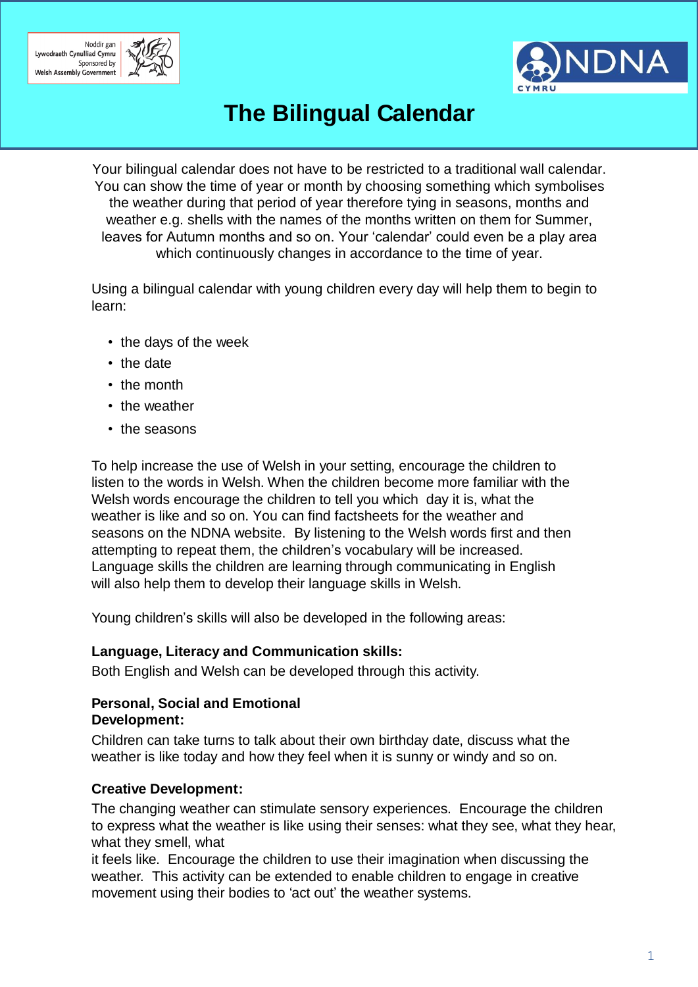



## **The Bilingual Calendar**

Your bilingual calendar does not have to be restricted to a traditional wall calendar. You can show the time of year or month by choosing something which symbolises the weather during that period of year therefore tying in seasons, months and weather e.g. shells with the names of the months written on them for Summer, leaves for Autumn months and so on. Your 'calendar' could even be a play area which continuously changes in accordance to the time of year.

Using a bilingual calendar with young children every day will help them to begin to learn:

- the days of the week
- the date
- the month
- the weather
- the seasons

To help increase the use of Welsh in your setting, encourage the children to listen to the words in Welsh. When the children become more familiar with the Welsh words encourage the children to tell you which day it is, what the weather is like and so on. You can find factsheets for the weather and seasons on the NDNA website. By listening to the Welsh words first and then attempting to repeat them, the children's vocabulary will be increased. Language skills the children are learning through communicating in English will also help them to develop their language skills in Welsh.

Young children's skills will also be developed in the following areas:

#### **Language, Literacy and Communication skills:**

Both English and Welsh can be developed through this activity.

#### **Personal, Social and Emotional Development:**

Children can take turns to talk about their own birthday date, discuss what the weather is like today and how they feel when it is sunny or windy and so on.

#### **Creative Development:**

The changing weather can stimulate sensory experiences. Encourage the children to express what the weather is like using their senses: what they see, what they hear, what they smell, what

it feels like. Encourage the children to use their imagination when discussing the weather. This activity can be extended to enable children to engage in creative movement using their bodies to 'act out' the weather systems.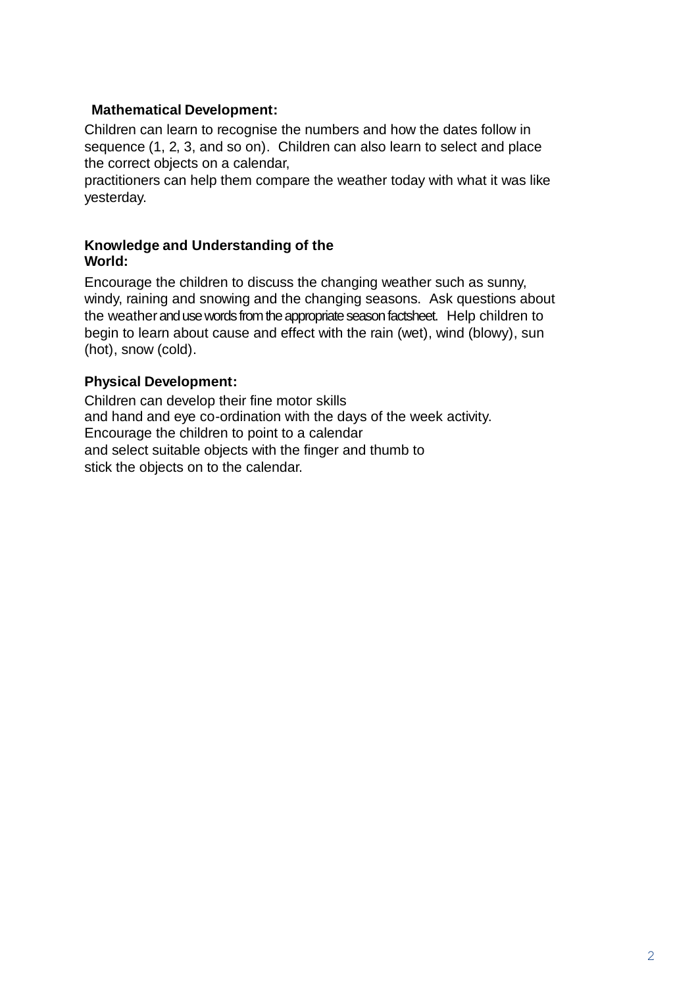#### **Mathematical Development:**

Children can learn to recognise the numbers and how the dates follow in sequence (1, 2, 3, and so on). Children can also learn to select and place the correct objects on a calendar,

practitioners can help them compare the weather today with what it was like yesterday.

#### **Knowledge and Understanding of the World:**

Encourage the children to discuss the changing weather such as sunny, windy, raining and snowing and the changing seasons. Ask questions about the weather and use words from the appropriate season factsheet. Help children to begin to learn about cause and effect with the rain (wet), wind (blowy), sun (hot), snow (cold).

#### **Physical Development:**

Children can develop their fine motor skills and hand and eye co-ordination with the days of the week activity. Encourage the children to point to a calendar and select suitable objects with the finger and thumb to stick the objects on to the calendar.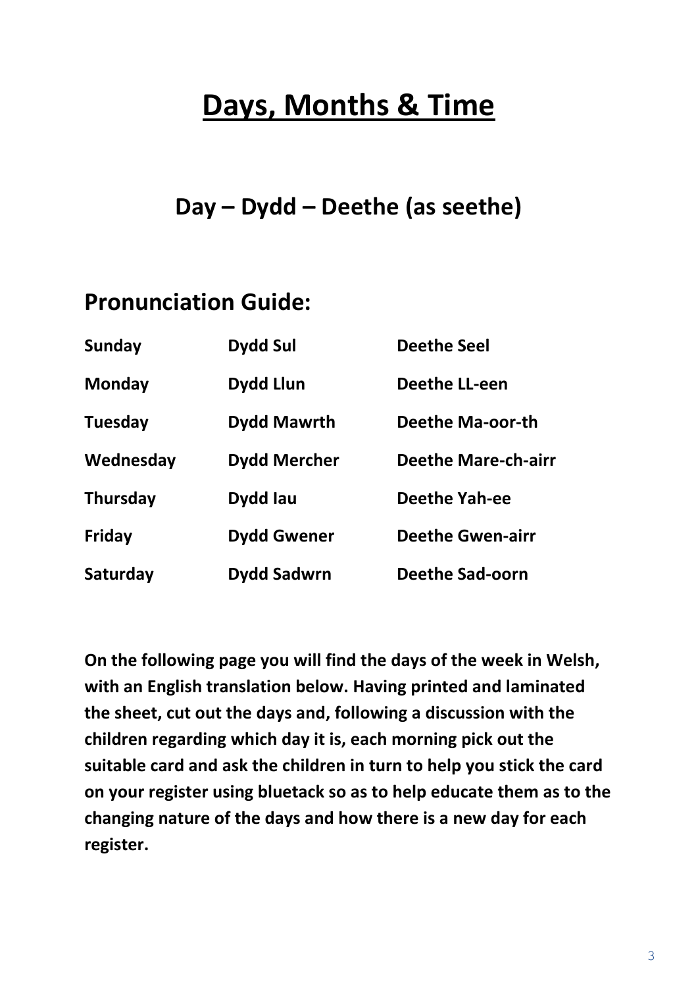## **Days, Months & Time**

## **Day – Dydd – Deethe (as seethe)**

## **Pronunciation Guide:**

| <b>Sunday</b>   | <b>Dydd Sul</b>     | <b>Deethe Seel</b>         |
|-----------------|---------------------|----------------------------|
| <b>Monday</b>   | <b>Dydd Llun</b>    | <b>Deethe LL-een</b>       |
| <b>Tuesday</b>  | <b>Dydd Mawrth</b>  | Deethe Ma-oor-th           |
| Wednesday       | <b>Dydd Mercher</b> | <b>Deethe Mare-ch-airr</b> |
| <b>Thursday</b> | Dydd Iau            | <b>Deethe Yah-ee</b>       |
| Friday          | <b>Dydd Gwener</b>  | <b>Deethe Gwen-airr</b>    |
| Saturday        | Dydd Sadwrn         | <b>Deethe Sad-oorn</b>     |

**On the following page you will find the days of the week in Welsh, with an English translation below. Having printed and laminated the sheet, cut out the days and, following a discussion with the children regarding which day it is, each morning pick out the suitable card and ask the children in turn to help you stick the card on your register using bluetack so as to help educate them as to the changing nature of the days and how there is a new day for each register.**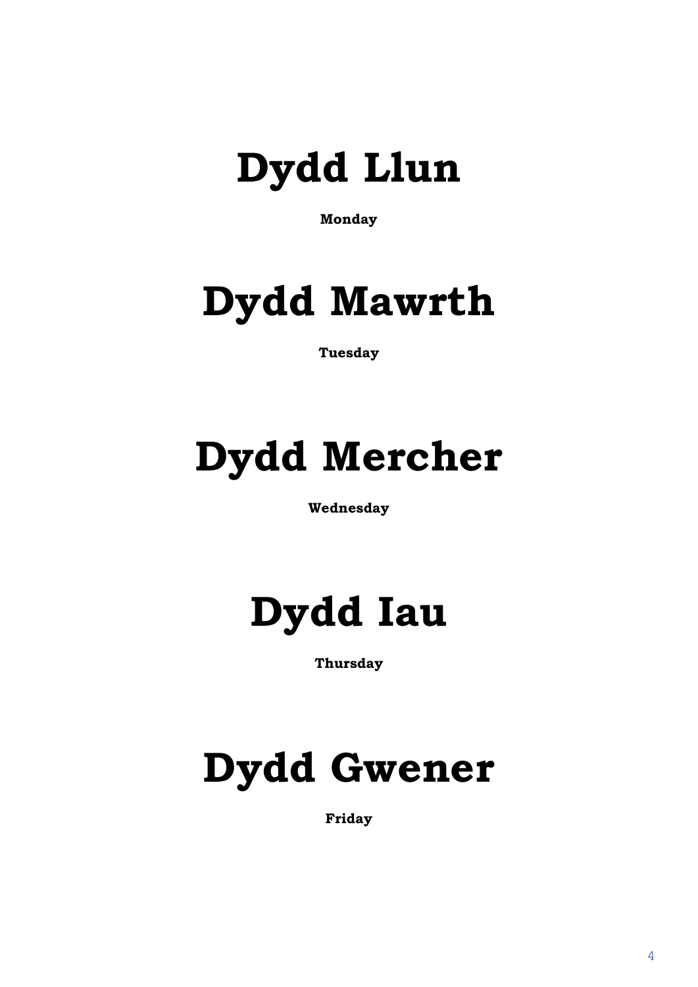

**Monday**

## **Dydd Mawrth**

**Tuesday**

## **Dydd Mercher**

**Wednesday**

## **Dydd Iau**

**Thursday**

# **Dydd Gwener**

**Friday**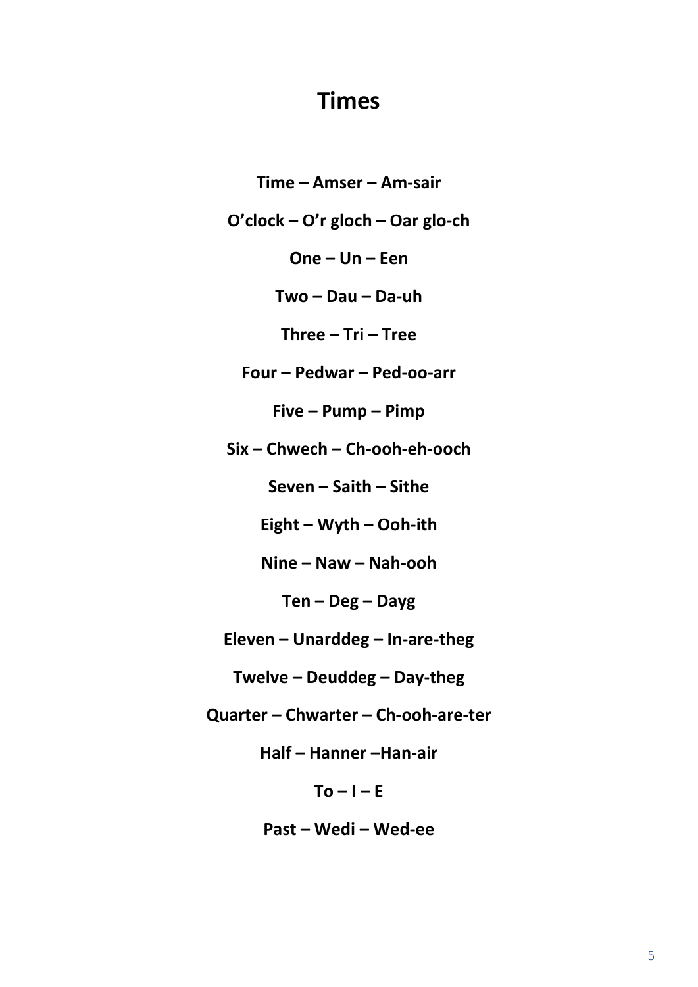### **Times**

Time - Amser - Am-sair O'clock - O'r gloch - Oar glo-ch  $One - Un - Een$  $Two-Dau-Da-uh$ Three  $-$  Tri  $-$  Tree Four - Pedwar - Ped-oo-arr  $Five-Pump-Pimp$  $Six$  – Chwech – Ch-ooh-eh-ooch Seven - Saith - Sithe Eight - Wyth - Ooh-ith Nine  $-$  Naw  $-$  Nah-ooh  $Ten - Deg - Dayg$ Eleven - Unarddeg - In-are-theg Twelve - Deuddeg - Day-theg **Ouarter - Chwarter - Ch-ooh-are-ter** 

Half - Hanner - Han-air

 $To - I - E$ 

Past - Wedi - Wed-ee